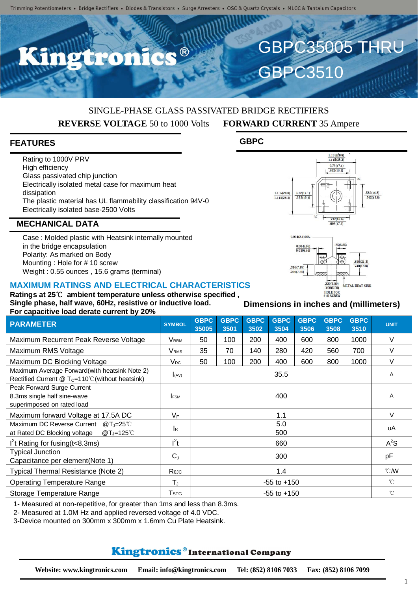n ®

# SINGLE-PHASE GLASS PASSIVATED BRIDGE RECTIFIERS **REVERSE VOLTAGE** 50 to 1000 Volts **FORWARD CURRENT** 35 Ampere

**GBPC**

## **FEATURES**

Rating to 1000V PRV High efficiency Glass passivated chip junction Electrically isolated metal case for maximum heat dissipation The plastic material has UL flammability classification 94V-0 Electrically isolated base-2500 Volts

### **MECHANICAL DATA**

Case : Molded plastic with Heatsink internally mounted in the bridge encapsulation Polarity: As marked on Body Mounting : Hole for # 10 screw Weight : 0.55 ounces , 15.6 grams (terminal)

#### **MAXIMUM RATINGS AND ELECTRICAL CHARACTERISTICS**

**Ratings at 25**℃ **ambient temperature unless otherwise specified , Single phase, half wave, 60Hz, resistive or inductive load. For capacitive load derate current by 20%**

| Ful capacitive idad defate current by 2076 |                 |                     |                     |                     |                     |                     |                     |              |
|--------------------------------------------|-----------------|---------------------|---------------------|---------------------|---------------------|---------------------|---------------------|--------------|
| <b>SYMBOL</b>                              | GBPC<br>35005   | <b>GBPC</b><br>3501 | <b>GBPC</b><br>3502 | <b>GBPC</b><br>3504 | <b>GBPC</b><br>3506 | <b>GBPC</b><br>3508 | <b>GBPC</b><br>3510 | <b>UNIT</b>  |
| <b>V</b> RRM                               | 50              | 100                 | 200                 | 400                 | 600                 | 800                 | 1000                | $\vee$       |
| <b>V</b> <sub>RMS</sub>                    | 35              | 70                  | 140                 | 280                 | 420                 | 560                 | 700                 | V            |
| $V_{DC}$                                   | 50              | 100                 | 200                 | 400                 | 600                 | 800                 | 1000                | V            |
| I(AV)                                      | 35.5            |                     |                     |                     |                     |                     |                     | A            |
| <b>IFSM</b>                                | 400             |                     |                     |                     |                     |                     |                     | A            |
| $V_F$                                      | 1.1             |                     |                     |                     |                     |                     |                     | V            |
| <b>I</b> R                                 | 5.0<br>500      |                     |                     |                     |                     |                     |                     | uA           |
| $l^2t$                                     | 660             |                     |                     |                     |                     |                     | $A^2S$              |              |
| $C_{J}$                                    | 300             |                     |                     |                     |                     |                     | pF                  |              |
| Rejc                                       | 1.4             |                     |                     |                     |                     |                     | $^{\circ}$ CMV      |              |
| $T_{\rm J}$                                | $-55$ to $+150$ |                     |                     |                     |                     |                     | $\int_{0}^{\infty}$ |              |
| <b>T</b> stg                               | $-55$ to $+150$ |                     |                     |                     |                     |                     |                     | $^{\circ}$ C |
|                                            |                 |                     |                     |                     |                     |                     |                     |              |

1- Measured at non-repetitive, for greater than 1ms and less than 8.3ms.

2- Measured at 1.0M Hz and applied reversed voltage of 4.0 VDC.

3-Device mounted on 300mm x 300mm x 1.6mm Cu Plate Heatsink.

# Kingtronics®International Company

HOLE FOR **Dimensions in inches and (millimeters)**

 $\frac{220(5.59)}{100(5.08)}$ 

METAL HEAT SINK



 $\frac{1.135(28.8)}{1.115(28.3)}$  $0.72(17.1)$  $632(16.1)$ 

GBPC35005 THRU

**GBPC3510**